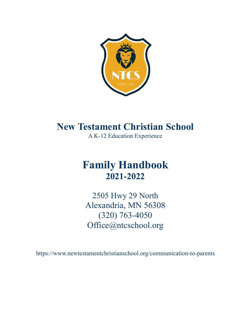

# **New Testament Christian School**

A K-12 Education Experience

# **Family Handbook 2021-2022**

2505 Hwy 29 North Alexandria, MN 56308 (320) 763-4050 [Office@ntcschool.org](mailto:Office@ntcschool.org)

https://www.newtestamentchristianschool.org/communication-to-parents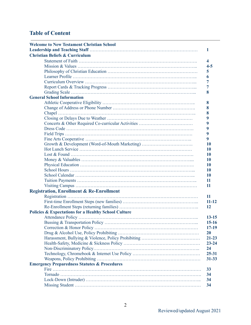# **Table of Content**

| <b>Welcome to New Testament Christian School</b>                |
|-----------------------------------------------------------------|
| 1                                                               |
| <b>Christian Beliefs &amp; Curriculum</b>                       |
| 4                                                               |
| $4 - 5$                                                         |
| 5                                                               |
| 6                                                               |
| 7                                                               |
| 7                                                               |
| 8                                                               |
| <b>General School Information</b>                               |
| 8                                                               |
| 8                                                               |
| 8                                                               |
| 9                                                               |
| 9                                                               |
| 9                                                               |
|                                                                 |
| 9<br>9                                                          |
|                                                                 |
| Growth & Development (Word-of-Mouth Marketing)<br>10            |
| 10                                                              |
| 10                                                              |
| 10                                                              |
| 10                                                              |
| 10                                                              |
| 10                                                              |
| 11                                                              |
| 11                                                              |
| <b>Registration, Enrollment &amp; Re-Enrollment</b>             |
| 11                                                              |
| $11 - 12$                                                       |
| 12                                                              |
| <b>Policies &amp; Expectations for a Healthy School Culture</b> |
| $13 - 15$                                                       |
| $15 - 16$                                                       |
| $17-19$                                                         |
| <b>20</b>                                                       |
| $21 - 23$                                                       |
| $23 - 24$                                                       |
| 24                                                              |
| $25 - 31$                                                       |
| $31 - 33$                                                       |
| <b>Emergency Preparedness Statutes &amp; Procedures</b>         |
| 33                                                              |
| 34                                                              |
| 34                                                              |
| 34                                                              |
|                                                                 |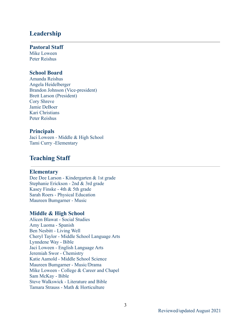# **Leadership**

#### **Pastoral Staff**

Mike Loween Peter Reishus

# **School Board**

Amanda Reishus Angela Heidelberger Brandon Johnson (Vice-president) Brett Larson (President) Cory Shreve Jamie DeBoer Kari Christians Peter Reishus

#### **Principals**

Jaci Loween - Middle & High School Tami Curry -Elementary

# **Teaching Staff**

#### **Elementary**

Dee Dee Larson - Kindergarten & 1st grade Stephanie Erickson - 2nd & 3rd grade Kasey Finske - 4th & 5th grade Sarah Roers - Physical Education Maureen Bumgarner - Music

# **Middle & High School**

Alicen Blawat - Social Studies Amy Luoma - Spanish Ben Nesbitt - Living Well Cheryl Taylor - Middle School Language Arts Lynndene Way - Bible Jaci Loween - English Language Arts Jeremiah Swor - Chemistry Katie Aamold - Middle School Science Maureen Bumgarner - Music/Drama Mike Loween - College & Career and Chapel Sam McKay - Bible Steve Walkswick - Literature and Bible Tamara Strauss - Math & Horticulture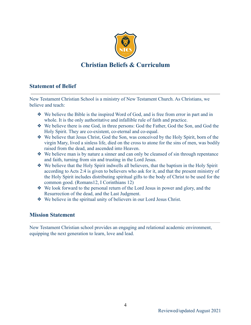

# **Christian Beliefs & Curriculum**

# **Statement of Belief**

New Testament Christian School is a ministry of New Testament Church. As Christians, we believe and teach:

- ❖ We believe the Bible is the inspired Word of God, and is free from error in part and in whole. It is the only authoritative and infallible rule of faith and practice.
- ❖ We believe there is one God, in three persons: God the Father, God the Son, and God the Holy Spirit. They are co-existent, co-eternal and co-equal.
- ❖ We believe that Jesus Christ, God the Son, was conceived by the Holy Spirit, born of the virgin Mary, lived a sinless life, died on the cross to atone for the sins of men, was bodily raised from the dead, and ascended into Heaven.
- ❖ We believe man is by nature a sinner and can only be cleansed of sin through repentance and faith, turning from sin and trusting in the Lord Jesus.
- ❖ We believe that the Holy Spirit indwells all believers, that the baptism in the Holy Spirit according to Acts 2:4 is given to believers who ask for it, and that the present ministry of the Holy Spirit includes distributing spiritual gifts to the body of Christ to be used for the common good. (Romans12, I Corinthians 12)
- ❖ We look forward to the personal return of the Lord Jesus in power and glory, and the Resurrection of the dead, and the Last Judgment.
- ❖ We believe in the spiritual unity of believers in our Lord Jesus Christ.

# **Mission Statement**

New Testament Christian school provides an engaging and relational academic environment, equipping the next generation to learn, love and lead.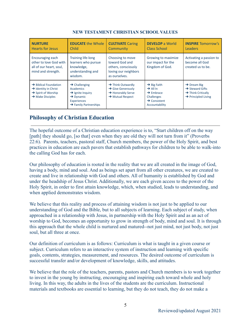| <b>NURTURE</b><br><b>Hearts for Jesus</b>                                                                                                | <b>EDUCATE the Whole</b><br>Child                                                                                                                                 | <b>CULTIVATE Caring</b><br>Community                                                                                            | <b>DEVELOP</b> a World<br>Class School                                                                                               | <b>INSPIRE Tomorrow's</b><br><b>Leaders</b>                                                                                 |
|------------------------------------------------------------------------------------------------------------------------------------------|-------------------------------------------------------------------------------------------------------------------------------------------------------------------|---------------------------------------------------------------------------------------------------------------------------------|--------------------------------------------------------------------------------------------------------------------------------------|-----------------------------------------------------------------------------------------------------------------------------|
| Encouraging each<br>other to love God with<br>all of our heart, soul,<br>mind and strength.                                              | <b>Training life-long</b><br>learners who pursue<br>knowledge,<br>understanding and<br>wisdom.                                                                    | Choosing to move<br>toward God and<br>others, consciously<br>loving our neighbors<br>as ourselves.                              | Growing to maximize<br>our impact for the<br>Kingdom of God.                                                                         | Activating a passion to<br>become all God<br>created us to be.                                                              |
| $\rightarrow$ Biblical Foundation<br>$\rightarrow$ Identity in Christ<br>$\rightarrow$ Spirit of Worship<br>$\rightarrow$ Make Disciples | $\rightarrow$ Challenging<br><b>Academics</b><br>$\rightarrow$ Ignite Inquiry<br>$\rightarrow$ Dynamic<br><b>Experiences</b><br>$\rightarrow$ Family Partnerships | $\rightarrow$ Think Outwardly<br>$\rightarrow$ Give Generously<br>$\rightarrow$ Honorably Serve<br>$\rightarrow$ Mutual Respect | $\rightarrow$ Big Faith<br>$\rightarrow$ All In<br>$\rightarrow$ Embrace<br>Challenges<br>$\rightarrow$ Consistent<br>Accountability | $\rightarrow$ Dream Big<br>$\rightarrow$ Steward Gifts<br>$\rightarrow$ Think Critically<br>$\rightarrow$ Principled Living |

# **NEW TESTAMENT CHRISTIAN SCHOOL VALUES**

# **Philosophy of Christian Education**

The hopeful outcome of a Christian education experience is to, "Start children off on the way [path] they should go, [so that] even when they are old they will not turn from it" (Proverbs 22:6). Parents, teachers, pastoral staff, Church members, the power of the Holy Spirit, and best practices in education are each pavers that establish pathways for children to be able to walk-into the calling God has for each.

Our philosophy of education is rooted in the reality that we are all created in the image of God, having a body, mind and soul. And as beings set apart from all other creatures, we are created to create and live in relationship with God and others. All of humanity is established by God and under the headship of Jesus Christ. Additionally, we are each given access to the power of the Holy Spirit, in order to first attain knowledge, which, when studied, leads to understanding, and when applied demonstrates wisdom.

We believe that this reality and process of attaining wisdom is not just to be applied to our understanding of God and the Bible, but to all subjects of learning. Each subject of study, when approached in a relationship with Jesus, in partnership with the Holy Spirit and as an act of worship to God, becomes an opportunity to grow in strength of body, mind and soul. It is through this approach that the whole child is nurtured and matured--not just mind, not just body, not just soul, but all three at once.

Our definition of curriculum is as follows: Curriculum is what is taught in a given course or subject. Curriculum refers to an interactive system of instruction and learning with specific goals, contents, strategies, measurement, and resources. The desired outcome of curriculum is successful transfer and/or development of knowledge, skills, and attitudes.

We believe that the role of the teachers, parents, pastors and Church members is to work together to invest in the young by instructing, encouraging and inspiring each toward whole and holy living. In this way, the adults in the lives of the students are the curriculum. Instructional materials and textbooks are essential to learning, but they do not teach, they do not make a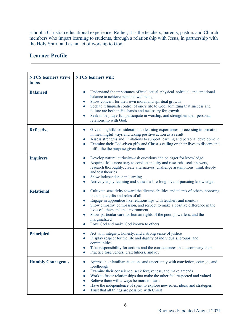school a Christian educational experience. Rather, it is the teachers, parents, pastors and Church members who impart learning to students, through a relationship with Jesus, in partnership with the Holy Spirit and as an act of worship to God.

# **Learner Profile**

| <b>NTCS</b> learners strive<br>to be: | <b>NTCS</b> learners will:                                                                                                                                                                                                                                                                                                                                                                                                                                                            |
|---------------------------------------|---------------------------------------------------------------------------------------------------------------------------------------------------------------------------------------------------------------------------------------------------------------------------------------------------------------------------------------------------------------------------------------------------------------------------------------------------------------------------------------|
| <b>Balanced</b>                       | Understand the importance of intellectual, physical, spiritual, and emotional<br>$\bullet$<br>balance to achieve personal wellbeing<br>Show concern for their own moral and spiritual growth<br>$\bullet$<br>Seek to relinquish control of one's life to God, admitting that success and<br>$\bullet$<br>failure are both in His hands and necessary for growth<br>Seek to be prayerful, participate in worship, and strengthen their personal<br>$\bullet$<br>relationship with God. |
| <b>Reflective</b>                     | Give thoughtful consideration to learning experiences, processing information<br>$\bullet$<br>in meaningful ways and taking positive action as a result<br>Assess strengths and limitations to support learning and personal development<br>$\bullet$<br>Examine their God-given gifts and Christ's calling on their lives to discern and<br>fulfill the the purpose given them                                                                                                       |
| <b>Inquirers</b>                      | Develop natural curiosity--ask questions and be eager for knowledge<br>$\bullet$<br>Acquire skills necessary to conduct inquiry and research--seek answers,<br>$\bullet$<br>research thoroughly, create alternatives, challenge assumptions, think deeply<br>and test theories<br>Show independence in learning<br>$\bullet$<br>Actively enjoy learning and sustain a life-long love of pursuing knowledge<br>$\bullet$                                                               |
| <b>Relational</b>                     | Cultivate sensitivity toward the diverse abilities and talents of others, honoring<br>the unique gifts and roles of all<br>Engage in apprentice-like relationships with teachers and mentors<br>$\bullet$<br>Show empathy, compassion, and respect to make a positive difference in the<br>lives of others and the environment<br>Show particular care for human rights of the poor, powerless, and the<br>marginalized<br>Love God and make God known to others<br>$\bullet$         |
| <b>Principled</b>                     | Act with integrity, honesty, and a strong sense of justice<br>Display respect for the life and dignity of individuals, groups, and<br>communities<br>Take responsibility for actions and the consequences that accompany them<br>Practice forgiveness, gratefulness, and joy                                                                                                                                                                                                          |
| <b>Humbly Courageous</b>              | Approach unfamiliar situations and uncertainty with conviction, courage, and<br>forethought<br>Examine their conscience, seek forgiveness, and make amends<br>Work to foster relationships that make the other feel respected and valued<br>Believe there will always be more to learn<br>Have the independence of spirit to explore new roles, ideas, and strategies<br>Trust that all things are possible with Christ                                                               |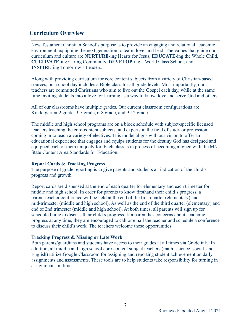# **Curriculum Overview**

New Testament Christian School's purpose is to provide an engaging and relational academic environment, equipping the next generation to learn, love, and lead. The values that guide our curriculum and culture are **NURTURE**-ing Hearts for Jesus, **EDUCATE**-ing the Whole Child, **CULTIVATE**-ing Caring Community, **DEVELOP**-ing a World Class School, and **INSPIRE**-ing Tomorrow's Leaders.

Along with providing curriculum for core content subjects from a variety of Christian-based sources, our school day includes a Bible class for all grade levels. Most importantly, our teachers are committed Christians who aim to live out the Gospel each day, while at the same time inviting students into a love for learning as a way to know, love and serve God and others.

All of our classrooms have multiple grades. Our current classroom configurations are: Kindergarten-2 grade, 3-5 grade, 6-8 grade, and 9-12 grade.

The middle and high school programs are on a block schedule with subject-specific licensed teachers teaching the core-content subjects, and experts in the field of study or profession coming in to teach a variety of electives. This model aligns with our vision to offer an educational experience that engages and equips students for the destiny God has designed and equipped each of them uniquely for. Each class is in process of becoming aligned with the MN State Content Area Standards for Education.

#### **Report Cards & Tracking Progress**

The purpose of grade reporting is to give parents and students an indication of the child's progress and growth.

Report cards are dispensed at the end of each quarter for elementary and each trimester for middle and high school. In order for parents to know firsthand their child's progress, a parent-teacher conference will be held at the end of the first quarter (elementary) and mid-trimester (middle and high school). As well as the end of the third quarter (elementary) and end of 2nd trimester (middle and high school). At both times, all parents will sign up for scheduled time to discuss their child's progress. If a parent has concerns about academic progress at any time, they are encouraged to call or email the teacher and schedule a conference to discuss their child's work. The teachers welcome these opportunities.

#### **Tracking Progress & Missing or Late Work**

Both parents/guardians and students have access to their grades at all times via Gradelink. In addition, all middle and high school core-content subject teachers (math, science, social, and English) utilize Google Classroom for assigning and reporting student achievement on daily assignments and assessments. These tools are to help students take responsibility for turning in assignments on time.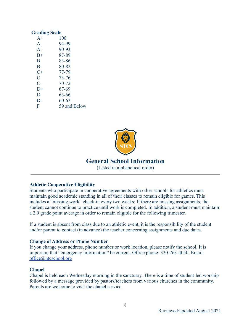#### **Grading Scale**

| $A+$           | 100          |  |  |  |
|----------------|--------------|--|--|--|
| $\mathsf{A}$   | 94-99        |  |  |  |
| $A-$           | 90-93        |  |  |  |
| $B+$           | 87-89        |  |  |  |
| B              | 83-86        |  |  |  |
| $B-$           | 80-82        |  |  |  |
| C+             | 77-79        |  |  |  |
| $\overline{C}$ | 73-76        |  |  |  |
| $C-$           | 70-72        |  |  |  |
| $D+$           | 67-69        |  |  |  |
| D              | 63-66        |  |  |  |
| $D-$           | $60 - 62$    |  |  |  |
| F              | 59 and Below |  |  |  |
|                |              |  |  |  |



# **General School Information**

(Listed in alphabetical order)

#### **Athletic Cooperative Eligibility**

Students who participate in cooperative agreements with other schools for athletics must maintain good academic standing in all of their classes to remain eligible for games. This includes a "missing work" check-in every two weeks; If there are missing assignments, the student cannot continue to practice until work is completed. In addition, a student must maintain a 2.0 grade point average in order to remain eligible for the following trimester.

If a student is absent from class due to an athletic event, it is the responsibility of the student and/or parent to contact (in advance) the teacher concerning assignments and due dates.

#### **Change of Address or Phone Number**

If you change your address, phone number or work location, please notify the school. It is important that "emergency information" be current. Office phone: 320-763-4050. Email: [office@ntcschool.org](mailto:office@ntcschool.org)

#### **Chapel**

Chapel is held each Wednesday morning in the sanctuary. There is a time of student-led worship followed by a message provided by pastors/teachers from various churches in the community. Parents are welcome to visit the chapel service.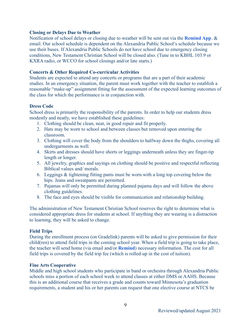#### **Closing or Delays Due to Weather**

Notification of school delays or closing due to weather will be sent out via the **Remind App**. & email. Our school schedule is dependent on the Alexandria Public School's schedule because we use their buses. If Alexandria Public Schools do not have school due to emergency closing conditions, New Testament Christian School will be closed also. (Tune in to KBHL 103.9 or KXRA radio, or WCCO for school closings and/or late starts.)

### **Concerts & Other Required Co-curricular Activities**

Students are expected to attend any concerts or programs that are a part of their academic studies. In an emergency situation, the parent must work together with the teacher to establish a reasonable "make-up" assignment fitting for the assessment of the expected learning outcomes of the class for which the performance is in conjunction with.

#### **Dress Code**

School dress is primarily the responsibility of the parents. In order to help our students dress modestly and neatly, we have established these guidelines:

- 1. Clothing should be clean, neat, in good repair and fit properly.
- 2. Hats may be worn to school and between classes but removed upon entering the classroom.
- 3. Clothing will cover the body from the shoulders to halfway down the thighs, covering all undergarments as well.
- 4. Skirts and dresses should have shorts or leggings underneath unless they are finger-tip length or longer.
- 5. All jewelry, graphics and sayings on clothing should be positive and respectful reflecting Biblical values and/ morals.
- 6. Leggings & tightening fitting pants must be worn with a long top covering below the hips. Jeans and sweatpants are permitted.
- 7. Pajamas will only be permitted during planned pajama days and will follow the above clothing guidelines.
- 8. The face and eyes should be visible for communication and relationship building.

The administration of New Testament Christian School reserves the right to determine what is considered appropriate dress for students at school. If anything they are wearing is a distraction to learning, they will be asked to change.

#### **Field Trips**

During the enrollment process (on Gradelink) parents will be asked to give permission for their child(ren) to attend field trips in the coming school year. When a field trip is going to take place, the teacher will send home (via email and/or **Remind**) necessary information. The cost for all field trips is covered by the field trip fee (which is rolled-up in the cost of tuition).

#### **Fine Arts Cooperative**

Middle and high school students who participate in band or orchestra through Alexandria Public schools miss a portion of each school week to attend classes at either DMS or AAHS. Because this is an additional course that receives a grade and counts toward Minnesota's graduation requirements, a student and his or her parents can request that one elective course at NTCS be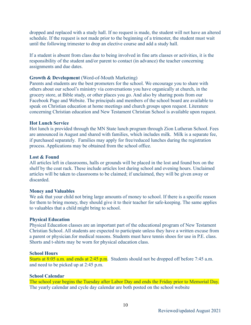dropped and replaced with a study hall. If no request is made, the student will not have an altered schedule. If the request is not made prior to the beginning of a trimester, the student must wait until the following trimester to drop an elective course and add a study hall.

If a student is absent from class due to being involved in fine arts classes or activities, it is the responsibility of the student and/or parent to contact (in advance) the teacher concerning assignments and due dates.

#### **Growth & Development** (Word-of-Mouth Marketing)

Parents and students are the best promoters for the school. We encourage you to share with others about our school's ministry via conversations you have organically at church, in the grocery store, at Bible study, or other places you go. And also by sharing posts from our Facebook Page and Website. The principals and members of the school board are available to speak on Christian education at home meetings and church groups upon request. Literature concerning Christian education and New Testament Christian School is available upon request.

#### **Hot Lunch Service**

Hot lunch is provided through the MN State lunch program through Zion Lutheran School. Fees are announced in August and shared with families, which includes milk. Milk is a separate fee, if purchased separately. Families may apply for free/reduced lunches during the registration process. Applications may be obtained from the school office.

#### **Lost & Found**

All articles left in classrooms, halls or grounds will be placed in the lost and found box on the shelf by the coat rack. These include articles lost during school and evening hours. Unclaimed articles will be taken to classrooms to be claimed; if unclaimed, they will be given away or discarded.

#### **Money and Valuables**

We ask that your child not bring large amounts of money to school. If there is a specific reason for them to bring money, they should give it to their teacher for safe-keeping. The same applies to valuables that a child might bring to school.

#### **Physical Education**

Physical Education classes are an important part of the educational program of New Testament Christian School. All students are expected to participate unless they have a written excuse from a parent or physician.for medical reasons. Students must have tennis shoes for use in P.E. class. Shorts and t-shirts may be worn for physical education class.

#### **School Hours**

Starts at 8:05 a.m. and ends at 2:45 p.m. Students should not be dropped off before 7:45 a.m. and need to be picked up at 2:45 p.m.

#### **School Calendar**

The school year begins the Tuesday after Labor Day and ends the Friday prior to Memorial Day. The yearly calendar and cycle day calendar are both posted on the school website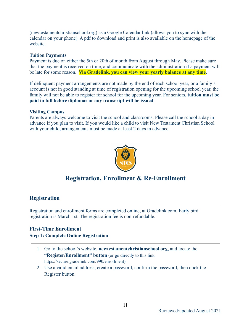(newtestamentchristianschool.org) as a Google Calendar link (allows you to sync with the calendar on your phone). A pdf to download and print is also available on the homepage of the website.

#### **Tuition Payments**

Payment is due on either the 5th or 20th of month from August through May. Please make sure that the payment is received on time, and communicate with the administration if a payment will be late for some reason. **Via Gradelink, you can view your yearly balance at any time**.

If delinquent payment arrangements are not made by the end of each school year, or a family's account is not in good standing at time of registration opening for the upcoming school year, the family will not be able to register for school for the upcoming year. For seniors, **tuition must be paid in full before diplomas or any transcript will be issued**.

#### **Visiting Campus**

Parents are always welcome to visit the school and classrooms. Please call the school a day in advance if you plan to visit. If you would like a child to visit New Testament Christian School with your child, arrangements must be made at least 2 days in advance.



# **Registration, Enrollment & Re-Enrollment**

# **Registration**

Registration and enrollment forms are completed online, at Gradelink.com. Early bird registration is March 1st. The registration fee is non-refundable.

# **First-Time Enrollment**

#### **Step 1: Complete Online Registration**

- 1. Go to the school's website, **newtestamentchristianschool.org**, and locate the **"Register/Enrollment" button** (or go directly to this link: https://secure.gradelink.com/990/enrollment)
- 2. Use a valid email address, create a password, confirm the password, then click the Register button.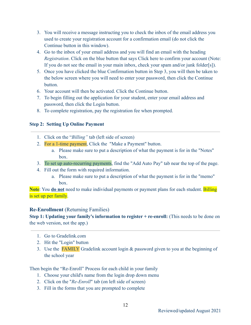- 3. You will receive a message instructing you to check the inbox of the email address you used to create your registration account for a confirmation email (do not click the Continue button in this window).
- 4. Go to the inbox of your email address and you will find an email with the heading *Registration*. Click on the blue button that says Click here to confirm your account (Note: If you do not see the email in your main inbox, check your spam and/or junk folder[s]).
- 5. Once you have clicked the blue Confirmation button in Step 3, you will then be taken to the below screen where you will need to enter your password, then click the Continue button.
- 6. Your account will then be activated. Click the Continue button.
- 7. To begin filling out the application for your student, enter your email address and password, then click the Login button.
- 8. To complete registration, pay the registration fee when prompted.

# **Step 2: Setting Up Online Payment**

- 1. Click on the "*Billing"* tab (left side of screen)
- 2. For a 1-time payment, Click the "Make a Payment" button.
	- a. Please make sure to put a description of what the payment is for in the "Notes" box.
- 3. To set up auto-recurring payments, find the "Add Auto Pay" tab near the top of the page.
- 4. Fill out the form with required information.
	- a. Please make sure to put a description of what the payment is for in the "memo" box.

**Note**: You **do not** need to make individual payments or payment plans for each student. Billing is set up per family.

# **Re-Enrollment** (Returning Families)

**Step 1: Updating your family's information to register + re-enroll:** (This needs to be done on the web version, not the app.)

- 1. Go to Gradelink.com
- 2. Hit the "Login" button
- 3. Use the FAMILY Gradelink account login & password given to you at the beginning of the school year

Then begin the "Re-Enroll" Process for each child in your family

- 1. Choose your child's name from the login drop down menu
- 2. Click on the "*Re-Enroll*" tab (on left side of screen)
- 3. Fill in the forms that you are prompted to complete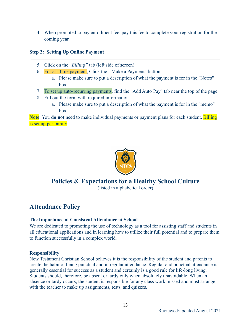4. When prompted to pay enrollment fee, pay this fee to complete your registration for the coming year.

# **Step 2: Setting Up Online Payment**

- 5. Click on the "*Billing"* tab (left side of screen)
- 6. For a 1-time payment, Click the "Make a Payment" button.
	- a. Please make sure to put a description of what the payment is for in the "Notes" box.
- 7. To set up auto-recurring payments, find the "Add Auto Pay" tab near the top of the page.
- 8. Fill out the form with required information.
	- a. Please make sure to put a description of what the payment is for in the "memo" box.

**Note**: You **do not** need to make individual payments or payment plans for each student. Billing is set up per family.



# **Policies & Expectations for a Healthy School Culture**

(listed in alphabetical order)

# **Attendance Policy**

# **The Importance of Consistent Attendance at School**

We are dedicated to promoting the use of technology as a tool for assisting staff and students in all educational applications and in learning how to utilize their full potential and to prepare them to function successfully in a complex world.

# **Responsibility**

New Testament Christian School believes it is the responsibility of the student and parents to create the habit of being punctual and in regular attendance. Regular and punctual attendance is generally essential for success as a student and certainly is a good rule for life-long living. Students should, therefore, be absent or tardy only when absolutely unavoidable. When an absence or tardy occurs, the student is responsible for any class work missed and must arrange with the teacher to make up assignments, tests, and quizzes.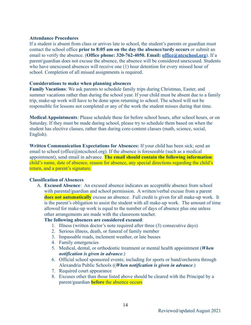#### **Attendance Procedures**

If a student is absent from class or arrives late to school, the student's parents or guardian must contact the school office **prior to 8:05 am on the day the absence/tardy occurs** or submit an email to verify the absence. (**Office phone: 320-762-4050. Email: [office@ntcschool.org](mailto:office@ntcschool.org)**). If a parent/guardian does not excuse the absence, the absence will be considered unexcused. Students who have unexcused absences will receive one (1) hour detention for every missed hour of school. Completion of all missed assignments is required.

#### **Considerations to make when planning absences**

**Family Vacations**: We ask parents to schedule family trips during Christmas, Easter, and summer vacations rather than during the school year. If your child must be absent due to a family trip, make-up work will have to be done upon returning to school. The school will not be responsible for lessons not completed or any of the work the student misses during that time.

**Medical Appointments**: Please schedule these for before school hours, after school hours, or on Saturday. If they must be made during school, please try to schedule them based on when the student has elective classes, rather than during core-content classes (math, science, social, English).

**Written Communication Expectations for Absences:** If your child has been sick; send an email to school (office@ntcschool.org). If the absence is foreseeable (such as a medical appointment), send email in advance. **The email should contain the following information**: child's name, date of absence, reason for absence, any special directions regarding the child's return, and a parent's signature.

#### **Classification of Absences**

A. **Excused Absence**: An excused absence indicates an acceptable absence from school with parental/guardian and school permission. A written/verbal excuse from a parent **does not automatically** excuse an absence. Full credit is given for all make-up work. It is the parent's obligation to assist the student with all make-up work. The amount of time allowed for make-up work is equal to the number of days of absence plus one unless other arrangements are made with the classroom teacher.

# **The following absences are considered excused**:

- 1. Illness (written doctor's note required after three (3) consecutive days)
- 2. Serious illness, death, or funeral of family member
- 3. Impassable roads, inclement weather, or late busses
- 4. Family emergencies
- 5. Medical, dental, or orthodontic treatment or mental health appointment (*When notification is given in advance*.)
- 6. Official school sponsored events; including for sports or band/orchestra through Alexandria Public Schools ((*When notification is given in advance*.)
- 7. Required court appearance
- 8. Excuses other than those listed above should be cleared with the Principal by a parent/guardian **before** the absence occurs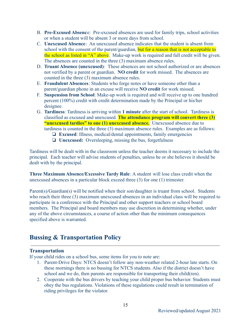- B. **Pre-Excused Absenc**e: Pre-excused absences are used for family trips, school activities or when a student will be absent 3 or more days from school.
- C. **Unexcused Absence**: An unexcused absence indicates that the student is absent from school with the consent of the parent/guardian, but for a reason that is not acceptable to the school as listed in "A" above. Make-up work is required and full credit will be given. The absences are counted in the three (3) maximum absence rules.
- D. **Truant Absence (unexcused)**: These absences are not school authorized or are absences not verified by a parent or guardian. **NO credit** for work missed. The absences are counted in the three (3) maximum absence rules.
- E. **Fraudulent Absences**: Students who forge notes or have someone other than a parent/guardian phone in an excuse will receive **NO credit** for work missed.
- F. **Suspension from School**: Make-up work is required and will receive up to one hundred percent (100%) credit with credit determination made by the Principal or his/her designee.
- G. **Tardiness**: Tardiness is arriving within **1 minute** after the start of school. Tardiness is classified as excused and unexcused. **The attendance program will convert three (3) "unexcused tardies" to one (1) unexcused absence.** Unexcused absence due to tardiness is counted in the three (3) maximum absence rules. Examples are as follows:
	- ❏ **Excused**: Illness, medical/dental appointments, family emergencies
	- ❏ **Unexcused:** Oversleeping, missing the bus, forgetfulness

Tardiness will be dealt with in the classroom unless the teacher deems it necessary to include the principal. Each teacher will advise students of penalties, unless he or she believes it should be dealt with by the principal.

**Three Maximum Absence/Excessive Tardy Rule**: A student will lose class credit when the unexcused absences in a particular block exceed three (3) for one (1) trimester.

Parent(s)/Guardian(s) will be notified when their son/daughter is truant from school. Students who reach their three (3) maximum unexcused absences in an individual class will be required to participate in a conference with the Principal and other support teachers or school board members. The Principal and board members may use discretion in determining whether, under any of the above circumstances, a course of action other than the minimum consequences specified above is warranted.

# **Bussing & Transportation Policy**

# **Transportation**

If your child rides on a school bus, some items for you to note are:

- 1. Parent-Drive Days: NTCS doesn't follow any non-weather related 2-hour late starts. On these mornings there is no bussing for NTCS students. Also if the district doesn't have school and we do, then parents are responsible for transporting their child(ren).
- 2. Cooperate with the bus drivers by teaching your child proper bus behavior. Students must obey the bus regulations. Violations of these regulations could result in termination of riding privileges for the violator.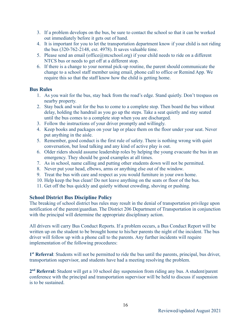- 3. If a problem develops on the bus, be sure to contact the school so that it can be worked out immediately before it gets out of hand.
- 4. It is important for you to let the transportation department know if your child is not riding the bus (320-762-2148, ext. 4978). It saves valuable time.
- 5. Please send an email (office@ntcschool.org) if your child needs to ride on a different NTCS bus or needs to get off at a different stop.
- 6. If there is a change to your normal pick-up routine, the parent should communicate the change to a school staff member using email, phone call to office or Remind App. We require this so that the staff know how the child is getting home.

# **Bus Rules**

- 1. As you wait for the bus, stay back from the road's edge. Stand quietly. Don't trespass on nearby property.
- 2. Stay back and wait for the bus to come to a complete stop. Then board the bus without delay, holding the handrail as you go up the steps. Take a seat quietly and stay seated until the bus comes to a complete stop when you are discharged.
- 3. Follow the instructions of your driver promptly and willingly.
- 4. Keep books and packages on your lap or place them on the floor under your seat. Never put anything in the aisle.
- 5. Remember, good conduct is the first rule of safety. There is nothing wrong with quiet conversation, but loud talking and any kind of active play is out.
- 6. Older riders should assume leadership roles by helping the young evacuate the bus in an emergency. They should be good examples at all times.
- 7. As in school, name calling and putting other students down will not be permitted.
- 8. Never put your head, elbows, arms or anything else out of the window.
- 9. Treat the bus with care and respect as you would furniture in your own home.
- 10. Help keep the bus clean! Do not leave anything on the seats or floor of the bus.
- 11. Get off the bus quickly and quietly without crowding, shoving or pushing.

# **School District Bus Discipline Policy**

The breaking of school district bus rules may result in the denial of transportation privilege upon notification of the parent/guardian. The District 206 Department of Transportation in conjunction with the principal will determine the appropriate disciplinary action.

All drivers will carry Bus Conduct Reports. If a problem occurs, a Bus Conduct Report will be written up on the student to be brought home to his/her parents the night of the incident. The bus driver will follow up with a phone call to the parents. Any further incidents will require implementation of the following procedures:

1<sup>st</sup> Referral: Students will not be permitted to ride the bus until the parents, principal, bus driver, transportation supervisor, and students have had a meeting resolving the problem.

**2 nd Referral:** Student will get a 10 school day suspension from riding any bus. A student/parent conference with the principal and transportation supervisor will be held to discuss if suspension is to be sustained.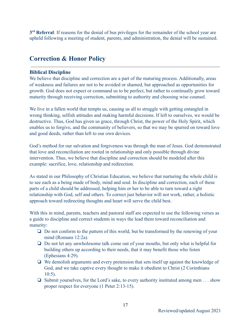3<sup>rd</sup> Referral: If reasons for the denial of bus privileges for the remainder of the school year are upheld following a meeting of student, parents, and administration, the denial will be sustained.

# **Correction & Honor Policy**

# **Biblical Discipline**

We believe that discipline and correction are a part of the maturing process. Additionally, areas of weakness and failures are not to be avoided or shamed, but approached as opportunities for growth. God does not expect or command us to be perfect, but rather to continually grow toward maturity through receiving correction, submitting to authority and choosing wise counsel.

We live in a fallen world that tempts us, causing us all to struggle with getting entangled in wrong thinking, selfish attitudes and making harmful decisions. If left to ourselves, we would be destructive. Thus, God has given us grace, through Christ, the power of the Holy Spirit, which enables us to forgive, and the community of believers, so that we may be spurred on toward love and good deeds, rather than left to our own devices.

God's method for our salvation and forgiveness was through the man of Jesus. God demonstrated that love and reconciliation are rooted in relationship and only possible through divine intervention. Thus, we believe that discipline and correction should be modeled after this example: sacrifice, love, relationship and redirection.

As stated in our Philosophy of Christian Education, we believe that nurturing the whole child is to see each as a being made of body, mind and soul. In discipline and correction, each of these parts of a child should be addressed, helping him or her to be able to turn toward a right relationship with God, self and others. To correct just behavior will not work, rather, a holistic approach toward redirecting thoughts and heart will serve the child best.

With this in mind, parents, teachers and pastoral staff are expected to use the following verses as a guide to discipline and correct students in ways the lead them toward reconciliation and maturity:

- ❏ Do not conform to the pattern of this world, but be transformed by the renewing of your mind (Romans 12:2a).
- ❏ Do not let any unwholesome talk come out of your mouths, but only what is helpful for building others up according to their needs, that it may benefit those who listen (Ephesians 4:29).
- ❏ We demolish arguments and every pretension that sets itself up against the knowledge of God, and we take captive every thought to make it obedient to Christ (2 Corinthians 10:5).
- ❏ Submit yourselves, for the Lord's sake, to every authority instituted among men . . . show proper respect for everyone (1 Peter 2:13-15).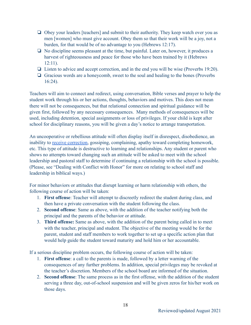- ❏ Obey your leaders [teachers] and submit to their authority. They keep watch over you as men [women] who must give account. Obey them so that their work will be a joy, not a burden, for that would be of no advantage to you (Hebrews 12:17).
- ❏ No discipline seems pleasant at the time, but painful. Later on, however, it produces a harvest of righteousness and peace for those who have been trained by it (Hebrews 12:11).
- ❏ Listen to advice and accept correction, and in the end you will be wise (Proverbs 19:20).
- ❏ Gracious words are a honeycomb, sweet to the soul and healing to the bones (Proverbs 16:24).

Teachers will aim to connect and redirect, using conversation, Bible verses and prayer to help the student work through his or her actions, thoughts, behaviors and motives. This does not mean there will not be consequences, but that relational connection and spiritual guidance will be given first, followed by any necessary consequences. Many methods of consequences will be used, including detention, special assignments or loss of privileges. If your child is kept after school for disciplinary reasons, you will be given a day's notice to arrange transportation.

An uncooperative or rebellious attitude will often display itself in disrespect, disobedience, an inability to [receive correction,](https://www.desiringgod.org/articles/how-to-humbly-give-and-receive-correction) gossiping, complaining, apathy toward completing homework, etc. This type of attitude is destructive to learning and relationships. Any student or parent who shows no attempts toward changing such an attitude will be asked to meet with the school leadership and pastoral staff to determine if continuing a relationship with the school is possible. (Please, see "Dealing with Conflict with Honor" for more on relating to school staff and leadership in biblical ways.)

For minor behaviors or attitudes that disrupt learning or harm relationship with others, the following course of action will be taken:

- 1. **First offense**: Teacher will attempt to discreetly redirect the student during class, and then have a private conversation with the student following the class.
- 2. **Second offense**: Same as above, with the addition of the teacher notifying both the principal and the parents of the behavior or attitude.
- 3. **Third offense:** Same as above, with the addition of the parent being called in to meet with the teacher, principal and student. The objective of the meeting would be for the parent, student and staff members to work together to set up a specific action plan that would help guide the student toward maturity and hold him or her accountable.

If a serious discipline problem occurs, the following course of action will be taken:

- 1. **First offense**: a call to the parents is made, followed by a letter warning of the consequences of any further problems. In addition, special privileges may be revoked at the teacher's discretion. Members of the school board are informed of the situation.
- 2. **Second offense**: The same process as in the first offense, with the addition of the student serving a three day, out-of-school suspension and will be given zeros for his/her work on those days.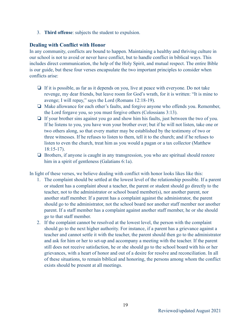3. **Third offense**: subjects the student to expulsion.

# **Dealing with Conflict with Honor**

In any community, conflicts are bound to happen. Maintaining a healthy and thriving culture in our school is not to avoid or never have conflict, but to handle conflict in biblical ways. This includes direct communication, the help of the Holy Spirit, and mutual respect. The entire Bible is our guide, but these four verses encapsulate the two important principles to consider when conflicts arise:

- ❏ If it is possible, as far as it depends on you, live at peace with everyone. Do not take revenge, my dear friends, but leave room for God's wrath, for it is written: "It is mine to avenge; I will repay," says the Lord (Romans 12:18-19).
- ❏ Make allowance for each other's faults, and forgive anyone who offends you. Remember, the Lord forgave you, so you must forgive others (Colossians 3:13).
- ❏ If your brother sins against you go and show him his faults, just between the two of you. If he listens to you, you have won your brother over; but if he will not listen, take one or two others along, so that every matter may be established by the testimony of two or three witnesses. If he refuses to listen to them, tell it to the church; and if he refuses to listen to even the church, treat him as you would a pagan or a tax collector (Matthew 18:15-17).
- ❏ Brothers, if anyone is caught in any transgression, you who are spiritual should restore him in a spirit of gentleness (Galatians 6:1a).

In light of these verses, we believe dealing with conflict with honor looks likes like this:

- 1. The complaint should be settled at the lowest level of the relationship possible. If a parent or student has a complaint about a teacher, the parent or student should go directly to the teacher, not to the administrator or school board member(s), nor another parent, nor another staff member. If a parent has a complaint against the administrator, the parent should go to the administrator, not the school board nor another staff member nor another parent. If a staff member has a complaint against another staff member, he or she should go to that staff member.
- 2. If the complaint cannot be resolved at the lowest level, the person with the complaint should go to the next higher authority. For instance, if a parent has a grievance against a teacher and cannot settle it with the teacher, the parent should then go to the administrator and ask for him or her to set-up and accompany a meeting with the teacher. If the parent still does not receive satisfaction, he or she should go to the school board with his or her grievances, with a heart of honor and out of a desire for resolve and reconciliation. In all of these situations, to remain biblical and honoring, the persons among whom the conflict exists should be present at all meetings.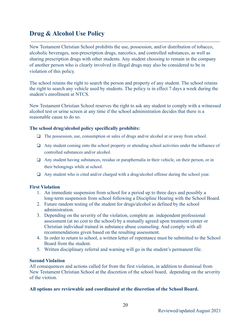# **Drug & Alcohol Use Policy**

New Testament Christian School prohibits the use, possession, and/or distribution of tobacco, alcoholic beverages, non-prescription drugs, narcotics, and controlled substances, as well as sharing prescription drugs with other students. Any student choosing to remain in the company of another person who is clearly involved in illegal drugs may also be considered to be in violation of this policy.

The school retains the right to search the person and property of any student. The school retains the right to search any vehicle used by students. The policy is in effect 7 days a week during the student's enrollment at NTCS.

New Testament Christian School reserves the right to ask any student to comply with a witnessed alcohol test or urine screen at any time if the school administration decides that there is a reasonable cause to do so.

#### **The school drug/alcohol policy specifically prohibits:**

- ❏ The possession, use, consumption or sales of drugs and/or alcohol at or away from school.
- ❏ Any student coming onto the school property or attending school activities under the influence of controlled substances and/or alcohol.
- ❏ Any student having substances, residue or paraphernalia in their vehicle, on their person, or in their belongings while at school.
- ❏ Any student who is cited and/or charged with a drug/alcohol offense during the school year.

#### **First Violation**

- 1. An immediate suspension from school for a period up to three days and possibly a long-term suspension from school following a Discipline Hearing with the School Board.
- 2. Future random testing of the student for drugs/alcohol as defined by the school administration.
- 3. Depending on the severity of the violation, complete an independent professional assessment (at no cost to the school) by a mutually agreed upon treatment center or Christian individual trained in substance abuse counseling. And comply with all recommendations given based on the resulting assessment.
- 4. In order to return to school, a written letter of repentance must be submitted to the School Board from the student.
- 5. Written disciplinary referral and warning will go in the student's permanent file.

#### **Second Violation**

All consequences and actions called for from the first violation, in addition to dismissal from New Testament Christian School at the discretion of the school board, depending on the severity of the viotion.

#### **All options are reviewable and coordinated at the discretion of the School Board.**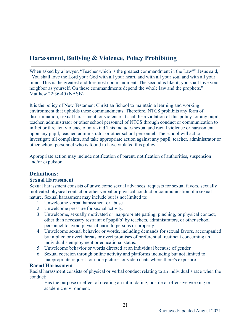# **Harassment, Bullying & Violence, Policy Prohibiting**

When asked by a lawyer, "Teacher which is the greatest commandment in the Law?" Jesus said, "You shall love the Lord your God with all your heart, and with all your soul and with all your mind. This is the greatest and foremost commandment. The second is like it; you shall love your neighbor as yourself. On these commandments depend the whole law and the prophets." Matthew 22:36-40 (NASB)

It is the policy of New Testament Christian School to maintain a learning and working environment that upholds these commandments. Therefore, NTCS prohibits any form of discrimination, sexual harassment, or violence. It shall be a violation of this policy for any pupil, teacher, administrator or other school personnel of NTCS through conduct or communication to inflict or threaten violence of any kind.This includes sexual and racial violence or harassment upon any pupil, teacher, administrator or other school personnel. The school will act to investigate all complaints, and take appropriate action against any pupil, teacher, administrator or other school personnel who is found to have violated this policy.

Appropriate action may include notification of parent, notification of authorities, suspension and/or expulsion.

# **Definitions:**

# **Sexual Harassment**

Sexual harassment consists of unwelcome sexual advances, requests for sexual favors, sexually motivated physical contact or other verbal or physical conduct or communication of a sexual nature. Sexual harassment may include but is not limited to:

- 1. Unwelcome verbal harassment or abuse.
- 2. Unwelcome pressure for sexual activity.
- 3. Unwelcome, sexually motivated or inappropriate patting, pinching, or physical contact, other than necessary restraint of pupil(s) by teachers, administrators, or other school personnel to avoid physical harm to persons or property.
- 4. Unwelcome sexual behavior or words, including demands for sexual favors, accompanied by implied or overt threats or overt promises of preferential treatment concerning an individual's employment or educational status.
- 5. Unwelcome behavior or words directed at an individual because of gender.
- 6. Sexual coercion through online activity and platforms including but not limited to inappropriate request for nude pictures or video chats where there's exposure.

# **Racial Harassment**

Racial harassment consists of physical or verbal conduct relating to an individual's race when the conduct:

1. Has the purpose or effect of creating an intimidating, hostile or offensive working or academic environment.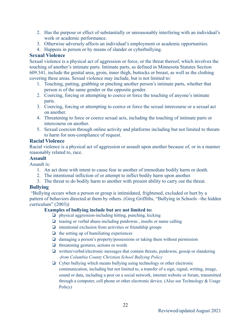- 2. Has the purpose or effect of substantially or unreasonably interfering with an individual's work or academic performance.
- 3. Otherwise adversely affects an individual's employment or academic opportunities.
- 4. Happens in person or by means of slander or cyberbullying.

# **Sexual Violence**

Sexual violence is a physical act of aggression or force, or the threat thereof, which involves the touching of another's intimate parts. Intimate parts, as defined in Minnesota Statutes Section 609.341, include the genital area, groin, inner thigh, buttocks or breast, as well as the clothing covering these areas. Sexual violence may include, but is not limited to:

- 1. Touching, patting, grabbing or pinching another person's intimate parts, whether that person is of the same gender or the opposite gender.
- 2. Coercing, forcing or attempting to coerce or force the touching of anyone's intimate parts.
- 3. Coercing, forcing or attempting to coerce or force the sexual intercourse or a sexual act on another.
- 4. Threatening to force or coerce sexual acts, including the touching of intimate parts or intercourse on another.
- 5. Sexual coercion through online activity and platforms including but not limited to threats to harm for non-compliance of request.

# **Racial Violence**

Racial violence is a physical act of aggression or assault upon another because of, or in a manner reasonably related to, race.

# **Assault**

Assault is:

- 1. An act done with intent to cause fear in another of immediate bodily harm or death.
- 2. The intentional infliction of or attempt to inflict bodily harm upon another.
- 3. The threat to do bodily harm to another with present ability to carry out the threat.

# **Bullying**

"Bullying occurs when a person or group is intimidated, frightened, excluded or hurt by a pattern of behaviors directed at them by others. (Greg Griffiths, "Bullying in Schools –the hidden curriculum" (2003))

# **Examples of bullying include but are not limited to:**

- ❏ physical aggression-including hitting, punching, kicking
- ❏ teasing or verbal abuse-including putdowns , insults or name calling
- $\Box$  intentional exclusion from activities or friendship groups
- $\Box$  the setting up of humiliating experiences
- ❏ damaging a person's property/possessions or taking them without permission
- ❏ threatening gestures, actions or words
- ❏ written/verbal/electronic messages that contain threats, putdowns, gossip or slandering *-from Columbia County Christian School Bullying Policy*
- ❏ Cyber bullying which means bullying using technology or other electronic communication, including but not limited to, a transfer of a sign, signal, writing, image, sound or data, including a post on a social network, internet website or forum, transmitted through a computer, cell phone or other electronic device. (Also see Technology & Usage Policy)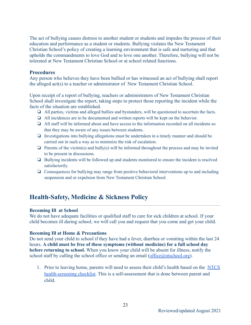The act of bullying causes distress to another student or students and impedes the process of their education and performance as a student or students. Bullying violates the New Testament Christian School's policy of creating a learning environment that is safe and nurturing and that upholds the commandments to love God and to love one another. Therefore, bullying will not be tolerated at New Testament Christian School or at school related functions.

#### **Procedures**

Any person who believes they have been bullied or has witnessed an act of bullying shall report the alleged act(s) to a teacher or administrator of New Testament Christian School.

Upon receipt of a report of bullying, teachers or administrators of New Testament Christian School shall investigate the report, taking steps to protect those reporting the incident while the facts of the situation are established.

- ❏ All parties, victims and alleged bullies and bystanders, will be questioned to ascertain the facts.
- ❏ All incidences are to be documented and written reports will be kept on the behavior.
- ❏ All staff will be informed about and have access to the information recorded on all incidents so that they may be aware of any issues between students.
- ❏ Investigations into bullying allegations must be undertaken in a timely manner and should be carried out in such a way as to minimize the risk of escalation.
- $\Box$  Parents of the victim(s) and bully(s) will be informed throughout the process and may be invited to be present in discussions.
- ❏ Bullying incidents will be followed up and students monitored to ensure the incident is resolved satisfactorily.
- ❏ Consequences for bullying may range from positive behavioral interventions up to and including suspension and or expulsion from New Testament Christian School.

# **Health-Safety, Medicine & Sickness Policy**

#### **Becoming Ill at School**

We do not have adequate facilities or qualified staff to care for sick children at school. If your child becomes ill during school, we will call you and request that you come and get your child.

#### **Becoming Ill at Home & Precautions**

Do not send your child to school if they have had a fever, diarrhea or vomiting within the last 24 hours. **A child must be free of these symptoms (without medicine) for a full school day before returning to school.** When you know your child will be absent for illness, notify the school staff by calling the school office or sending an email (office $(\partial n t \cdot \text{stochool} \cdot \text{org})$ ).

1. Prior to leaving home, parents will need to assess their child's health based on the [NTCS](https://docs.google.com/document/d/1XxqGO9c8Y56DRK0CmrzF6JUe9h7KgdBxkMM1s3gT-cc/edit?usp=sharing) [health-screening checklist.](https://docs.google.com/document/d/1XxqGO9c8Y56DRK0CmrzF6JUe9h7KgdBxkMM1s3gT-cc/edit?usp=sharing) This is a self-assessment that is done between parent and child.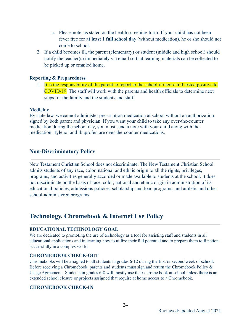- a. Please note, as stated on the health screening form: If your child has not been fever free for **at least 1 full school day** (without medication), he or she should not come to school.
- 2. If a child becomes ill, the parent (elementary) or student (middle and high school) should notify the teacher(s) immediately via email so that learning materials can be collected to be picked up or emailed home.

#### **Reporting & Preparedness**

1. It is the responsibility of the parent to report to the school if their child tested positive to COVID-19. The staff will work with the parents and health officials to determine next steps for the family and the students and staff.

#### **Medicine**

By state law, we cannot administer prescription medication at school without an authorization signed by both parent and physician. If you want your child to take any over-the-counter medication during the school day, you must send a note with your child along with the medication. Tylenol and Ibuprofen are over-the-counter medications.

# **Non-Discriminatory Policy**

New Testament Christian School does not discriminate. The New Testament Christian School admits students of any race, color, national and ethnic origin to all the rights, privileges, programs, and activities generally accorded or made available to students at the school. It does not discriminate on the basis of race, color, national and ethnic origin in administration of its educational policies, admissions policies, scholarship and loan programs, and athletic and other school-administered programs.

# **Technology, Chromebook & Internet Use Policy**

#### **EDUCATIONAL TECHNOLOGY GOAL**

We are dedicated to promoting the use of technology as a tool for assisting staff and students in all educational applications and in learning how to utilize their full potential and to prepare them to function successfully in a complex world.

#### **CHROMEBOOK CHECK-OUT**

Chromebooks will be assigned to all students in grades 6-12 during the first or second week of school. Before receiving a Chromebook, parents and students must sign and return the Chromebook Policy & Usage Agreement. Students in grades 6-8 will mostly use their chrome book at school unless there is an extended school closure or projects assigned that require at home access to a Chromebook.

#### **CHROMEBOOK CHECK-IN**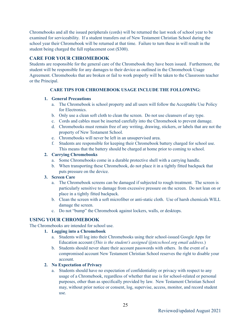Chromebooks and all the issued peripherals (cords) will be returned the last week of school year to be examined for serviceability. If a student transfers out of New Testament Christian School during the school year their Chromebook will be returned at that time. Failure to turn these in will result in the student being charged the full replacement cost (\$300).

# **CARE FOR YOUR CHROMEBOOK**

Students are responsible for the general care of the Chromebook they have been issued. Furthermore, the student will be responsible for any damages to their device as outlined in the Chromebook Usage Agreement. Chromebooks that are broken or fail to work properly will be taken to the Classroom teacher or the Principal.

#### **CARE TIPS FOR CHROMEBOOK USAGE INCLUDE THE FOLLOWING:**

#### **1. General Precautions**

- a. The Chromebook is school property and all users will follow the Acceptable Use Policy for Electronics.
- b. Only use a clean soft cloth to clean the screen. Do not use cleansers of any type.
- c. Cords and cables must be inserted carefully into the Chromebook to prevent damage.
- d. Chromebooks must remain free of any writing, drawing, stickers, or labels that are not the property of New Testament School.
- e. Chromebooks will never be left in an unsupervised area.
- f. Students are responsible for keeping their Chromebook battery charged for school use. This means that the battery should be charged at home prior to coming to school.

#### **2. Carrying Chromebooks**

- a. Some Chromebooks come in a durable protective shell with a carrying handle.
- b. When transporting these Chromebook, do not place it in a tightly fitted backpack that puts pressure on the device.

#### **3. Screen Care**

- a. The Chromebook screens can be damaged if subjected to rough treatment. The screen is particularly sensitive to damage from excessive pressure on the screen. Do not lean on or place in a tightly fitted backpack.
- b. Clean the screen with a soft microfiber or anti-static cloth. Use of harsh chemicals WILL damage the screen.
- c. Do not "bump" the Chromebook against lockers, walls, or desktops.

# **USING YOUR CHROMEBOOK**

The Chromebooks are intended for school use.

#### **1. Logging into a Chromebook**

- a. Students will log into their Chromebooks using their school-issued Google Apps for Education account (*This is the student's assigned @ntcschool.org email address.*)
- b. Students should never share their account passwords with others. In the event of a compromised account New Testament Christian School reserves the right to disable your account.

#### **2. No Expectation of Privacy**

a. Students should have no expectation of confidentiality or privacy with respect to any usage of a Chromebook, regardless of whether that use is for school-related or personal purposes, other than as specifically provided by law. New Testament Christian School may, without prior notice or consent, log, supervise, access, monitor, and record student use.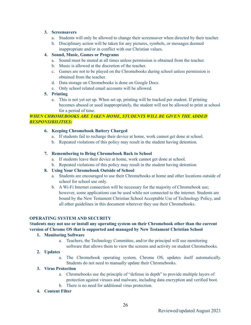#### **3. Screensavers**

- a. Students will only be allowed to change their screensaver when directed by their teacher.
- b. Disciplinary action will be taken for any pictures, symbols, or messages deemed inappropriate and/or in conflict with our Christian values.

#### **4. Sound, Music, Games or Programs**

- a. Sound must be muted at all times unless permission is obtained from the teacher.
- b. Music is allowed at the discretion of the teacher.
- c. Games are not to be played on the Chromebooks during school unless permission is obtained from the teacher.
- d. Data storage on Chromebooks is done on Google Docs.
- e. Only school related email accounts will be allowed.

#### **5. Printing**

a. This is not yet set up. When set up, printing will be tracked per student. If printing becomes abused or used inappropriately, the student will not be allowed to print at school for a period of time.

#### *WHEN CHROMEBOOKS ARE TAKEN HOME, STUDENTS WILL BE GIVEN THE ADDED RESPONSIBILITIES:*

#### **6. Keeping Chromebook Battery Charged**

- a. If students fail to recharge their device at home, work cannot get done at school.
- b. Repeated violations of this policy may result in the student having detention.

#### **7. Remembering to Bring Chromebook Back to School**

- a. If students leave their device at home, work cannot get done at school.
- b. Repeated violations of this policy may result in the student having detention.

#### **8. Using Your Chromebook Outside of School**

- a. Students are encouraged to use their Chromebooks at home and other locations outside of school for school use only.
- b. A Wi-Fi Internet connection will be necessary for the majority of Chromebook use; however, some applications can be used while not connected to the internet. Students are bound by the New Testament Christian School Acceptable Use of Technology Policy, and all other guidelines in this document wherever they use their Chromebooks.

#### **OPERATING SYSTEM AND SECURITY**

# S**tudents may not use or install any operating system on their Chromebook other than the current version of Chrome OS that is supported and managed by New Testament Christian School**

#### **1. Monitoring Software**

a. Teachers, the Technology Committee, and/or the principal will use monitoring software that allows them to view the screens and activity on student Chromebooks.

#### **2. Updates**

a. The Chromebook operating system, Chrome OS, updates itself automatically. Students do not need to manually update their Chromebooks.

#### **3. Virus Protection**

- a. Chromebooks use the principle of "defense in depth" to provide multiple layers of protection against viruses and malware, including data encryption and verified boot.
- b. There is no need for additional virus protection.

#### **4. Content Filter**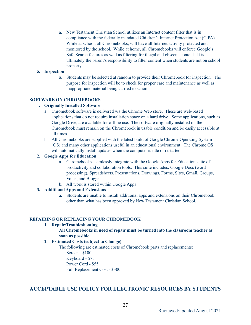a. New Testament Christian School utilizes an Internet content filter that is in compliance with the federally mandated Children's Internet Protection Act (CIPA). While at school, all Chromebooks, will have all Internet activity protected and monitored by the school. While at home, all Chromebooks will enforce Google's Safe Search features as well as filtering for illegal and obscene content. It is ultimately the parent's responsibility to filter content when students are not on school property.

#### **5. Inspection**

a. Students may be selected at random to provide their Chromebook for inspection. The purpose for inspection will be to check for proper care and maintenance as well as inappropriate material being carried to school.

#### **SOFTWARE ON CHROMEBOOKS**

#### **1. Originally Installed Software**

- a. Chromebook software is delivered via the Chrome Web store. These are web-based applications that do not require installation space on a hard drive. Some applications, such as Google Drive, are available for offline use. The software originally installed on the Chromebook must remain on the Chromebook in usable condition and be easily accessible at all times.
- b. All Chromebooks are supplied with the latest build of Google Chrome Operating System (OS) and many other applications useful in an educational environment. The Chrome OS will automatically install updates when the computer is idle or restarted.

#### **2. Google Apps for Education**

- a. Chromebooks seamlessly integrate with the Google Apps for Education suite of productivity and collaboration tools. This suite includes: Google Docs (word processing), Spreadsheets, Presentations, Drawings, Forms, Sites, Gmail, Groups, Voice, and Blogger.
- b. All work is stored within Google Apps

#### **3. Additional Apps and Extensions**

a. Students are unable to install additional apps and extensions on their Chromebook other than what has been approved by New Testament Christian School.

#### **REPAIRING OR REPLACING YOUR CHROMEBOOK**

#### **1. Repair/Troubleshooting**

#### **All Chromebooks in need of repair must be turned into the classroom teacher as soon as possible.**

#### **2. Estimated Costs (subject to Change)**

The following are estimated costs of Chromebook parts and replacements: Screen - \$100 Keyboard - \$75

Power Cord - \$55

Full Replacement Cost - \$300

# **ACCEPTABLE USE POLICY FOR ELECTRONIC RESOURCES BY STUDENTS**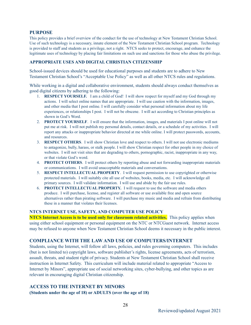#### **PURPOSE**

This policy provides a brief overview of the conduct for the use of technology at New Testament Christian School. Use of such technology is a necessary, innate element of the New Testament Christian School program. Technology is provided to staff and students as a privilege, not a right. NTCS seeks to protect, encourage, and enhance the legitimate uses of technology by placing fair limitations on such use and sanctions for those who abuse the privilege.

#### **APPROPRIATE USES AND DIGITAL CHRISTIAN CITIZENSHIP**

School-issued devices should be used for educational purposes and students are to adhere to New Testament Christian School's "Acceptable Use Policy" as well as all other NTCS rules and regulations.

While working in a digital and collaborative environment, students should always conduct themselves as good digital citizens by adhering to the following:

- 1. **RESPECT YOURSELF.** I am a child of God! I will show respect for myself and my God through my actions. I will select online names that are appropriate. I will use caution with the information, images, and other media that I post online. I will carefully consider what personal information about my life experiences, or relationships I post. I will not be obscene. I will act according to Christian principles as shown in God's Word.
- 2. **PROTECT YOURSELF**. I will ensure that the information, images, and materials I post online will not put me at risk. I will not publish my personal details, contact details, or a schedule of my activities. I will report any attacks or inappropriate behavior directed at me while online. I will protect passwords, accounts, and resources.
- 3. **RESPECT OTHERS**. I will show Christian love and respect to others. I will not use electronic mediums to antagonize, bully, harass, or stalk people. I will show Christian respect for other people in my choice of websites. I will not visit sites that are degrading to others, pornographic, racist, inappropriate in any way, or that violate God's word.
- 4. **PROTECT OTHERS**. I will protect others by reporting abuse and not forwarding inappropriate materials or communications. I will avoid unacceptable materials and conversations.
- 5. **RESPECT INTELLECTUAL PROPERTY**. I will request permission to use copyrighted or otherwise protected materials. I will suitably cite all use of websites, books, media, etc. I will acknowledge all primary sources. I will validate information. I will use and abide by the fair use rules.
- 6. **PROTECT INTELLECTUAL PROPERTY.** I will request to use the software and media others produce. I will purchase, license, and register all software or use available free and open source alternatives rather than pirating software. I will purchase my music and media and refrain from distributing these in a manner that violates their licenses.

#### **NTCS INTERNET USE, SAFETY, AND COMPUTER USE POLICY**

**NTCS Internet Access is to be used only for classroom related activities.** This policy applies when using either school equipment or personal equipment on the NTC or NTCGuest network. Internet access may be refused to anyone when New Testament Christian School deems it necessary in the public interest.

#### **COMPLIANCE WITH THE LAW AND USE OF COMPUTERS/INTERNET**

Students, using the Internet, will follow all laws, policies, and rules governing computers. This includes (but is not limited to) copyright laws, software publisher's rights, license agreements, acts of terrorism, assault, threats, and student right of privacy. Students at New Testament Christian School shall receive instruction in Internet Safety. This curriculum will include material related to appropriate "Access to Internet by Minors", appropriate use of social networking sites, cyber-bullying, and other topics as are relevant in encouraging digital Christian citizenship.

### **ACCESS TO THE INTERNET BY MINORS (Students under the age of 18) or ADULTS (over the age of 18)**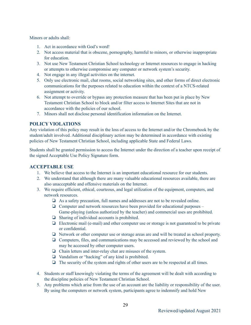Minors or adults shall:

- 1. Act in accordance with God's word!
- 2. Not access material that is obscene, pornography, harmful to minors, or otherwise inappropriate for education.
- 3. Not use New Testament Christian School technology or Internet resources to engage in hacking or attempts to otherwise compromise any computer or network system's security.
- 4. Not engage in any illegal activities on the internet.
- 5. Only use electronic mail, chat rooms, social networking sites, and other forms of direct electronic communications for the purposes related to education within the context of a NTCS-related assignment or activity.
- 6. Not attempt to override or bypass any protection measure that has been put in place by New Testament Christian School to block and/or filter access to Internet Sites that are not in accordance with the policies of our school.
- 7. Minors shall not disclose personal identification information on the Internet.

# **POLICY VIOLATIONS**

Any violation of this policy may result in the loss of access to the Internet and/or the Chromebook by the student/adult involved. Additional disciplinary action may be determined in accordance with existing policies of New Testament Christian School, including applicable State and Federal Laws.

Students shall be granted permission to access the Internet under the direction of a teacher upon receipt of the signed Acceptable Use Policy Signature form.

# **ACCEPTABLE USE**

- 1. We believe that access to the Internet is an important educational resource for our students.
- 2. We understand that although there are many valuable educational resources available, there are also unacceptable and offensive materials on the Internet.
- 3. We require efficient, ethical, courteous, and legal utilization of the equipment, computers, and network resources.
	- ❏ As a safety precaution, full names and addresses are not to be revealed online.
	- ❏ Computer and network resources have been provided for educational purposes Game-playing (unless authorized by the teacher) and commercial uses are prohibited.
	- ❏ Sharing of individual accounts is prohibited.
	- ❏ Electronic mail (e-mail) and other computer use or storage is not guaranteed to be private or confidential.
	- ❏ Network or other computer use or storage areas are and will be treated as school property.
	- ❏ Computers, files, and communications may be accessed and reviewed by the school and may be accessed by other computer users.
	- ❏ Chain letters and inter-relay chat are misuses of the system.
	- ❏ Vandalism or "hacking" of any kind is prohibited.
	- ❏ The security of the system and rights of other users are to be respected at all times.
- 4. Students or staff knowingly violating the terms of the agreement will be dealt with according to the discipline policies of New Testament Christian School.
- 5. Any problems which arise from the use of an account are the liability or responsibility of the user. By using the computers or network system, participants agree to indemnify and hold New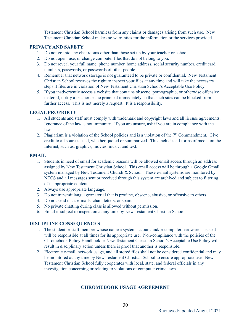Testament Christian School harmless from any claims or damages arising from such use. New Testament Christian School makes no warranties for the information or the services provided.

#### **PRIVACY AND SAFETY**

- 1. Do not go into any chat rooms other than those set up by your teacher or school.
- 2. Do not open, use, or change computer files that do not belong to you.
- 3. Do not reveal your full name, phone number, home address, social security number, credit card numbers, passwords, or passwords of other people.
- 4. Remember that network storage is not guaranteed to be private or confidential. New Testament Christian School reserves the right to inspect your files at any time and will take the necessary steps if files are in violation of New Testament Christian School's Acceptable Use Policy.
- 5. If you inadvertently access a website that contains obscene, pornographic, or otherwise offensive material, notify a teacher or the principal immediately so that such sites can be blocked from further access. This is not merely a request. It is a responsibility.

#### **LEGAL PROPRIETY**

- 1. All students and staff must comply with trademark and copyright laws and all license agreements. Ignorance of the law is not immunity. If you are unsure, ask if you are in compliance with the law.
- 2. Plagiarism is a violation of the School policies and is a violation of the  $7<sup>th</sup>$  Commandment. Give credit to all sources used, whether quoted or summarized. This includes all forms of media on the Internet, such as: graphics, movies, music, and text.

#### **EMAIL**

- 1. Students in need of email for academic reasons will be allowed email access through an address assigned by New Testament Christian School. This email access will be through a Google Gmail system managed by New Testament Church & School. These e-mail systems are monitored by NTCS and all messages sent or received through this system are archived and subject to filtering of inappropriate content.
- 2. Always use appropriate language.
- 3. Do not transmit language/material that is profane, obscene, abusive, or offensive to others.
- 4. Do not send mass e-mails, chain letters, or spam.
- 5. No private chatting during class is allowed without permission.
- 6. Email is subject to inspection at any time by New Testament Christian School.

#### **DISCIPLINE CONSEQUENCES**

- 1. The student or staff member whose name a system account and/or computer hardware is issued will be responsible at all times for its appropriate use. Non-compliance with the policies of the Chromebook Policy Handbook or New Testament Christian School's Acceptable Use Policy will result in disciplinary action unless there is proof that another is responsible.
- 2. Electronic e-mail, network usage, and all stored files shall not be considered confidential and may be monitored at any time by New Testament Christian School to ensure appropriate use. New Testament Christian School fully cooperates with local, state, and federal officials in any investigation concerning or relating to violations of computer crime laws.

#### **CHROMEBOOK USAGE AGREEMENT**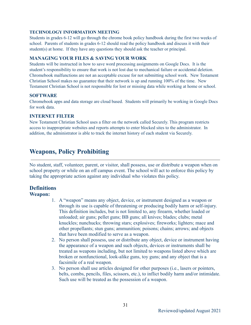#### **TECHNOLOGY INFORMATION MEETING**

Students in grades 6-12 will go through the chrome book policy handbook during the first two weeks of school. Parents of students in grades 6-12 should read the policy handbook and discuss it with their student(s) at home. If they have any questions they should ask the teacher or principal.

### **MANAGING YOUR FILES & SAVING YOUR WORK**

Students will be instructed in how to save word processing assignments on Google Docs. It is the student's responsibility to ensure that work is not lost due to mechanical failure or accidental deletion. Chromebook malfunctions are not an acceptable excuse for not submitting school work. New Testament Christian School makes no guarantee that their network is up and running 100% of the time. New Testament Christian School is not responsible for lost or missing data while working at home or school.

#### **SOFTWARE**

Chromebook apps and data storage are cloud based. Students will primarily be working in Google Docs for work data.

#### **INTERNET FILTER**

New Testament Christian School uses a filter on the network called Securely. This program restricts access to inappropriate websites and reports attempts to enter blocked sites to the administrator. In addition, the administrator is able to track the internet history of each student via Securely.

# **Weapons, Policy Prohibiting**

No student, staff, volunteer, parent, or visitor, shall possess, use or distribute a weapon when on school property or while on an off campus event. The school will act to enforce this policy by taking the appropriate action against any individual who violates this policy.

# **Definitions**

# **Weapon:**

- 1. A "weapon" means any object, device, or instrument designed as a weapon or through its use is capable of threatening or producing bodily harm or self-injury. This definition includes, but is not limited to, any firearm, whether loaded or unloaded; air guns; pellet guns; BB guns; all knives; blades; clubs; metal knuckles; nunchucks; throwing stars; explosives; fireworks; lighters; mace and other propellants; stun guns; ammunition; poisons; chains; arrows; and objects that have been modified to serve as a weapon.
- 2. No person shall possess, use or distribute any object, device or instrument having the appearance of a weapon and such objects, devices or instruments shall be treated as weapons including, but not limited to weapons listed above which are broken or nonfunctional, look-alike guns, toy guns; and any object that is a facsimile of a real weapon.
- 3. No person shall use articles designed for other purposes (i.e., lasers or pointers, belts, combs, pencils, files, scissors, etc.), to inflict bodily harm and/or intimidate. Such use will be treated as the possession of a weapon.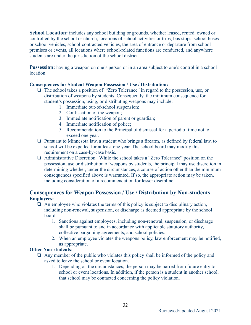**School Location:** includes any school building or grounds, whether leased, rented, owned or controlled by the school or church, locations of school activities or trips, bus stops, school buses or school vehicles, school-contracted vehicles, the area of entrance or departure from school premises or events, all locations where school-related functions are conducted, and anywhere students are under the jurisdiction of the school district.

**Possession:** having a weapon on one's person or in an area subject to one's control in a school **location** 

#### **Consequences for Student Weapon Possession / Use / Distribution:**

- ❏ The school takes a position of "Zero Tolerance" in regard to the possession, use, or distribution of weapons by students. Consequently, the minimum consequence for student's possession, using, or distributing weapons may include:
	- 1. Immediate out-of-school suspension;
	- 2. Confiscation of the weapon;
	- 3. Immediate notification of parent or guardian;
	- 4. Immediate notification of police;
	- 5. Recommendation to the Principal of dismissal for a period of time not to exceed one year.
- ❏ Pursuant to Minnesota law, a student who brings a firearm, as defined by federal law, to school will be expelled for at least one year. The school board may modify this requirement on a case-by-case basis.
- ❏ Administrative Discretion. While the school takes a "Zero Tolerance" position on the possession, use or distribution of weapons by students, the principal may use discretion in determining whether, under the circumstances, a course of action other than the minimum consequences specified above is warranted. If so, the appropriate action may be taken, including consideration of a recommendation for lesser discipline.

# **Consequences for Weapon Possession / Use / Distribution by Non-students Employees:**

- $\Box$  An employee who violates the terms of this policy is subject to disciplinary action, including non-renewal, suspension, or discharge as deemed appropriate by the school **board** 
	- 1. Sanctions against employees, including non-renewal, suspension, or discharge shall be pursuant to and in accordance with applicable statutory authority, collective bargaining agreements, and school policies.
	- 2. When an employee violates the weapons policy, law enforcement may be notified, as appropriate.

#### **Other Non-students:**

- ❏ Any member of the public who violates this policy shall be informed of the policy and asked to leave the school or event location.
	- 1. Depending on the circumstances, the person may be barred from future entry to school or event locations. In addition, if the person is a student in another school, that school may be contacted concerning the policy violation.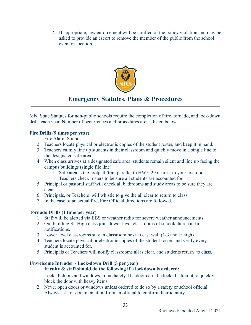2. If appropriate, law enforcement will be notified of the policy violation and may be asked to provide an escort to remove the member of the public from the school event or location.



# **Emergency Statutes, Plans & Procedures**

MN State Statutes for non-public schools require the completion of fire, tornado, and lock-down drills each year. Number of occurrences and procedures are as listed below.

# **Fire Drills (9 times per year)**

- 1. Fire Alarm Sounds
- 2. Teachers locate physical or electronic copies of the student roster, and keep it in hand.
- 3. Teachers calmly line up students in their classroom and quickly move in a single line to the designated safe area.
- 4. When class arrives at a designated safe area, students remain silent and line up facing the campus buildings (single file line).
	- a. Safe area is the footpath/trail parallel to HWY 29 nearest to your exit door. Teachers check rosters to be sure all students are accounted for.
- 5. Principal or pastoral staff will check all bathrooms and study areas to be sure they are clear.
- 6. Principals, or Teachers will whistle to give the all clear to return to class.
- 7. In the case of an actual fire, Fire Official directions are followed.

# **Tornado Drills (1 time per year)**

- 1. Staff will be alerted via EBS or weather radio for severe weather announcements.
- 2. Out building Sr. High class joins lower level classrooms of school/church at first notifications.
- 3. Lower level classrooms stay in classroom next to east wall (1-3 and Jr high)
- 4. Teachers locate physical or electronic copies of the student roster, and verify every student is accounted for.
- 5. Principals or Teachers will notify classrooms all is clear, and students return to class.

#### **Unwelcome Intruder - Lock-down Drill (5 per year) Faculty & staff should do the following if a lockdown is ordered:**

- 1. Lock all doors and windows immediately. If a door can't be locked, attempt to quickly block the door with heavy items.
- 2. Never open doors or windows unless ordered to do so by a safety or school official. Always ask for documentation from an official to confirm their identity.